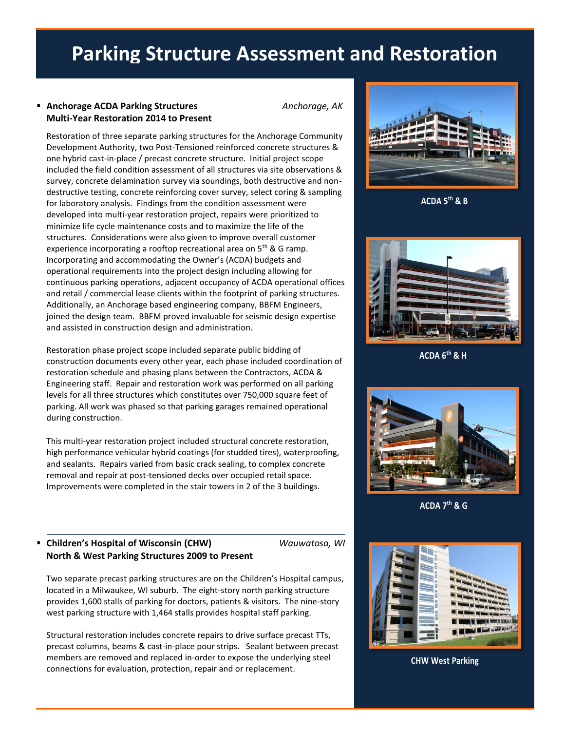# **Parking Structure Assessment and Restoration**

# ▪ **Anchorage ACDA Parking Structures** *Anchorage, AK* **Multi-Year Restoration 2014 to Present**

Restoration of three separate parking structures for the Anchorage Community Development Authority, two Post-Tensioned reinforced concrete structures & one hybrid cast-in-place / precast concrete structure. Initial project scope included the field condition assessment of all structures via site observations & survey, concrete delamination survey via soundings, both destructive and nondestructive testing, concrete reinforcing cover survey, select coring & sampling for laboratory analysis. Findings from the condition assessment were developed into multi-year restoration project, repairs were prioritized to minimize life cycle maintenance costs and to maximize the life of the structures. Considerations were also given to improve overall customer experience incorporating a rooftop recreational area on 5<sup>th</sup> & G ramp. Incorporating and accommodating the Owner's (ACDA) budgets and operational requirements into the project design including allowing for continuous parking operations, adjacent occupancy of ACDA operational offices and retail / commercial lease clients within the footprint of parking structures. Additionally, an Anchorage based engineering company, BBFM Engineers, joined the design team. BBFM proved invaluable for seismic design expertise and assisted in construction design and administration.

Restoration phase project scope included separate public bidding of construction documents every other year, each phase included coordination of restoration schedule and phasing plans between the Contractors, ACDA & Engineering staff. Repair and restoration work was performed on all parking levels for all three structures which constitutes over 750,000 square feet of parking. All work was phased so that parking garages remained operational during construction.

This multi-year restoration project included structural concrete restoration, high performance vehicular hybrid coatings (for studded tires), waterproofing, and sealants. Repairs varied from basic crack sealing, to complex concrete removal and repair at post-tensioned decks over occupied retail space. Improvements were completed in the stair towers in 2 of the 3 buildings.

# ▪ **Children's Hospital of Wisconsin (CHW)** *Wauwatosa, WI* **North & West Parking Structures 2009 to Present**

Two separate precast parking structures are on the Children's Hospital campus, located in a Milwaukee, WI suburb. The eight-story north parking structure provides 1,600 stalls of parking for doctors, patients & visitors. The nine-story west parking structure with 1,464 stalls provides hospital staff parking.

Structural restoration includes concrete repairs to drive surface precast TTs, precast columns, beams & cast-in-place pour strips. Sealant between precast members are removed and replaced in-order to expose the underlying steel connections for evaluation, protection, repair and or replacement.



**ACDA 5th & B**



**ACDA 6th & H**



**ACDA 7th & G**



**CHW West Parking**